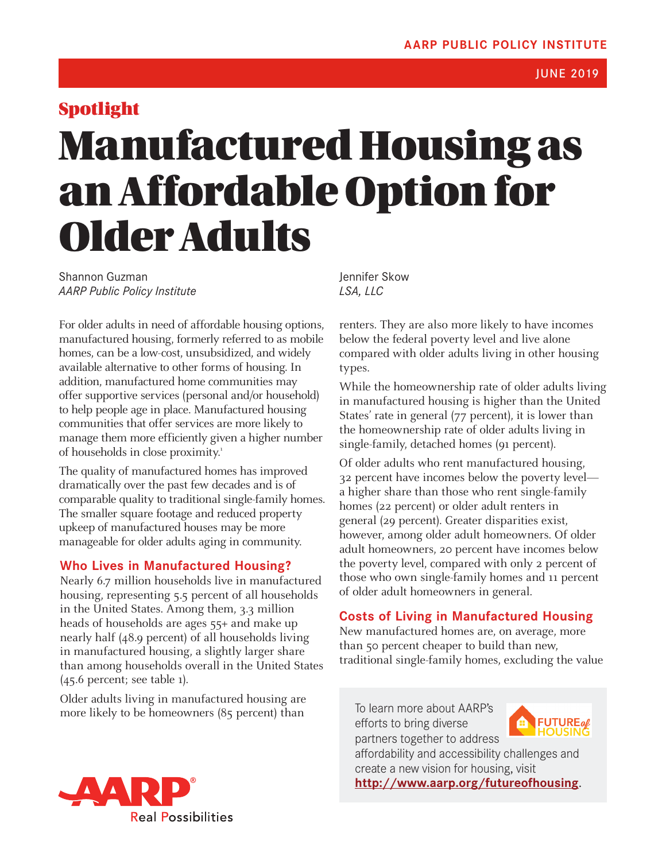# <span id="page-0-0"></span>Spotlight

JUNE 2019

# Manufactured Housing as an Affordable Option for Older Adults

Shannon Guzman *AARP Public Policy Institute*

For older adults in need of affordable housing options, manufactured housing, formerly referred to as mobile homes, can be a low-cost, unsubsidized, and widely available alternative to other forms of housing. In addition, manufactured home communities may offer supportive services (personal and/or household) to help people age in place. Manufactured housing communities that offer services are more likely to manage them more efficiently given a higher number of households in close proximity.<sup>[1](#page-4-0)</sup>

The quality of manufactured homes has improved dramatically over the past few decades and is of comparable quality to traditional single-family homes. The smaller square footage and reduced property upkeep of manufactured houses may be more manageable for older adults aging in community.

## **Who Lives in Manufactured Housing?**

Nearly 6.7 million households live in manufactured housing, representing 5.5 percent of all households in the United States. Among them, 3.3 million heads of households are ages 55+ and make up nearly half (48.9 percent) of all households living in manufactured housing, a slightly larger share than among households overall in the United States (45.6 percent; see table 1).

Older adults living in manufactured housing are more likely to be homeowners (85 percent) than

Jennifer Skow *LSA, LLC*

renters. They are also more likely to have incomes below the federal poverty level and live alone compared with older adults living in other housing types.

While the homeownership rate of older adults living in manufactured housing is higher than the United States' rate in general (77 percent), it is lower than the homeownership rate of older adults living in single-family, detached homes (91 percent).

Of older adults who rent manufactured housing, 32 percent have incomes below the poverty level a higher share than those who rent single-family homes (22 percent) or older adult renters in general (29 percent). Greater disparities exist, however, among older adult homeowners. Of older adult homeowners, 20 percent have incomes below the poverty level, compared with only 2 percent of those who own single-family homes and 11 percent of older adult homeowners in general.

## **Costs of Living in Manufactured Housing**

New manufactured homes are, on average, more than 50 percent cheaper to build than new, traditional single-family homes, excluding the value

To learn more about AARP's efforts to bring diverse partners together to address



affordability and accessibility challenges and create a new vision for housing, visit **<http://www.aarp.org/futureofhousing>**.

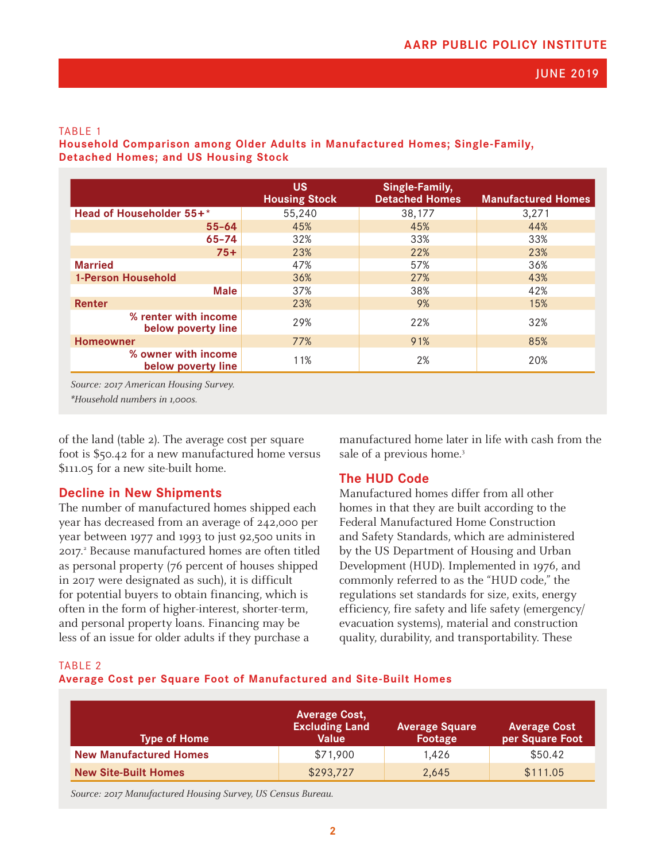#### <span id="page-1-0"></span>TABLE 1

**Household Comparison among Older Adults in Manufactured Homes; Single-Family, Detached Homes; and US Housing Stock**

|                                            | <b>US</b><br><b>Housing Stock</b> | Single-Family,<br><b>Detached Homes</b> | <b>Manufactured Homes</b> |
|--------------------------------------------|-----------------------------------|-----------------------------------------|---------------------------|
| Head of Householder 55+*                   | 55,240                            | 38,177                                  | 3,271                     |
| $55 - 64$                                  | 45%                               | 45%                                     | 44%                       |
| $65 - 74$                                  | 32%                               | 33%                                     | 33%                       |
| $75+$                                      | 23%                               | 22%                                     | 23%                       |
| <b>Married</b>                             | 47%                               | 57%                                     | 36%                       |
| <b>1-Person Household</b>                  | 36%                               | 27%                                     | 43%                       |
| <b>Male</b>                                | 37%                               | 38%                                     | 42%                       |
| Renter                                     | 23%                               | 9%                                      | 15%                       |
| % renter with income<br>below poverty line | 29%                               | 22%                                     | 32%                       |
| <b>Homeowner</b>                           | 77%                               | 91%                                     | 85%                       |
| % owner with income<br>below poverty line  | 11%                               | 2%                                      | 20%                       |

Source: 2017 American Housing Survey.

\*Household numbers in 1,000s.

of the land (table 2). The average cost per square foot is \$50.42 for a new manufactured home versus \$111.05 for a new site-built home.

#### **Decline in New Shipments**

The number of manufactured homes shipped each year has decreased from an average of 242,000 per year between 1977 and 1993 to just 92,500 units in [2](#page-4-0)017.<sup>2</sup> Because manufactured homes are often titled as personal property (76 percent of houses shipped in 2017 were designated as such), it is difficult for potential buyers to obtain financing, which is often in the form of higher-interest, shorter-term, and personal property loans. Financing may be less of an issue for older adults if they purchase a

manufactured home later in life with cash from the sale of a previous home.<sup>[3](#page-4-0)</sup>

#### **The HUD Code**

Manufactured homes differ from all other homes in that they are built according to the Federal Manufactured Home Construction and Safety Standards, which are administered by the US Department of Housing and Urban Development (HUD). Implemented in 1976, and commonly referred to as the "HUD code," the regulations set standards for size, exits, energy efficiency, fire safety and life safety (emergency/ evacuation systems), material and construction quality, durability, and transportability. These

#### TABLE 2

**Average Cost per Square Foot of Manufactured and Site-Built Homes**

| <b>Type of Home</b>           | <b>Average Cost,</b><br><b>Excluding Land</b><br>Value | <b>Average Square</b><br><b>Footage</b> | <b>Average Cost</b><br>per Square Foot |
|-------------------------------|--------------------------------------------------------|-----------------------------------------|----------------------------------------|
| <b>New Manufactured Homes</b> | \$71,900                                               | 1.426                                   | \$50.42                                |
| <b>New Site-Built Homes</b>   | \$293,727                                              | 2,645                                   | \$111.05                               |

Source: 2017 Manufactured Housing Survey, US Census Bureau.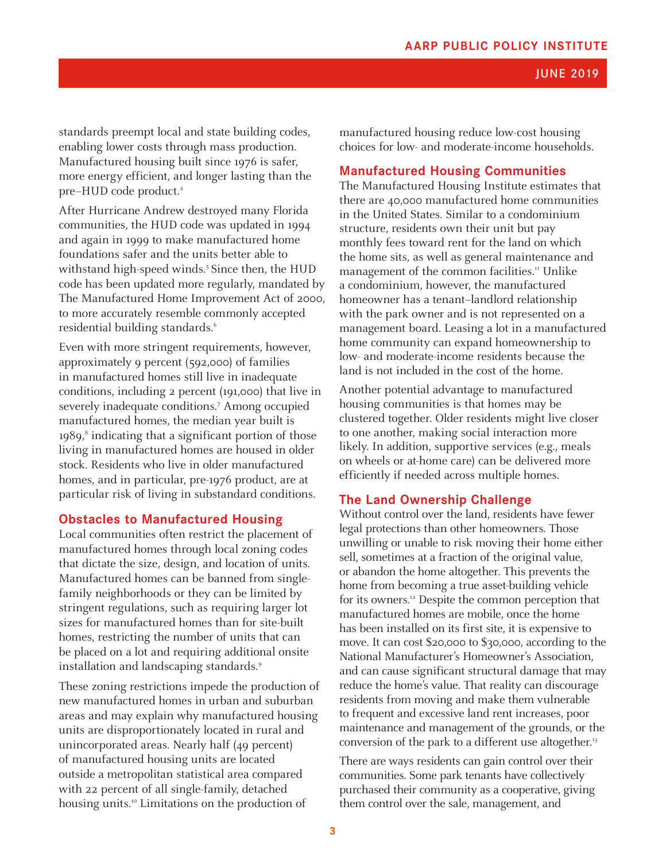#### JUNE 2019

<span id="page-2-0"></span>standards preempt local and state building codes, enabling lower costs through mass production. Manufactured housing built since 1976 is safer, more energy efficient, and longer lasting than the pre–HUD code product.[4](#page-4-0)

After Hurricane Andrew destroyed many Florida communities, the HUD code was updated in 1994 and again in 1999 to make manufactured home foundations safer and the units better able to withstand high-speed winds.<sup>5</sup> Since then, the HUD code has been updated more regularly, mandated by The Manufactured Home Improvement Act of 2000, to more accurately resemble commonly accepted residential building standards.<sup>6</sup>

Even with more stringent requirements, however, approximately 9 percent (592,000) of families in manufactured homes still live in inadequate conditions, including 2 percent (191,000) that live in severely inadequate conditions.<sup>[7](#page-4-0)</sup> Among occupied manufactured homes, the median year built is 19[8](#page-4-0)9,<sup>8</sup> indicating that a significant portion of those living in manufactured homes are housed in older stock. Residents who live in older manufactured homes, and in particular, pre-1976 product, are at particular risk of living in substandard conditions.

#### **Obstacles to Manufactured Housing**

Local communities often restrict the placement of manufactured homes through local zoning codes that dictate the size, design, and location of units. Manufactured homes can be banned from singlefamily neighborhoods or they can be limited by stringent regulations, such as requiring larger lot sizes for manufactured homes than for site-built homes, restricting the number of units that can be placed on a lot and requiring additional onsite installation and landscaping standards.<sup>[9](#page-4-0)</sup>

These zoning restrictions impede the production of new manufactured homes in urban and suburban areas and may explain why manufactured housing units are disproportionately located in rural and unincorporated areas. Nearly half (49 percent) of manufactured housing units are located outside a metropolitan statistical area compared with 22 percent of all single-family, detached housing units.<sup>10</sup> Limitations on the production of

manufactured housing reduce low-cost housing choices for low- and moderate-income households.

#### **Manufactured Housing Communities**

The Manufactured Housing Institute estimates that there are 40,000 manufactured home communities in the United States. Similar to a condominium structure, residents own their unit but pay monthly fees toward rent for the land on which the home sits, as well as general maintenance and management of the common facilities.<sup>[11](#page-4-0)</sup> Unlike a condominium, however, the manufactured homeowner has a tenant–landlord relationship with the park owner and is not represented on a management board. Leasing a lot in a manufactured home community can expand homeownership to low- and moderate-income residents because the land is not included in the cost of the home.

Another potential advantage to manufactured housing communities is that homes may be clustered together. Older residents might live closer to one another, making social interaction more likely. In addition, supportive services (e.g., meals on wheels or at-home care) can be delivered more efficiently if needed across multiple homes.

#### **The Land Ownership Challenge**

Without control over the land, residents have fewer legal protections than other homeowners. Those unwilling or unable to risk moving their home either sell, sometimes at a fraction of the original value, or abandon the home altogether. This prevents the home from becoming a true asset-building vehicle for its owners.<sup>12</sup> Despite the common perception that manufactured homes are mobile, once the home has been installed on its first site, it is expensive to move. It can cost \$20,000 to \$30,000, according to the National Manufacturer's Homeowner's Association, and can cause significant structural damage that may reduce the home's value. That reality can discourage residents from moving and make them vulnerable to frequent and excessive land rent increases, poor maintenance and management of the grounds, or the conversion of the park to a different use altogether.<sup>[13](#page-4-0)</sup>

There are ways residents can gain control over their communities. Some park tenants have collectively purchased their community as a cooperative, giving them control over the sale, management, and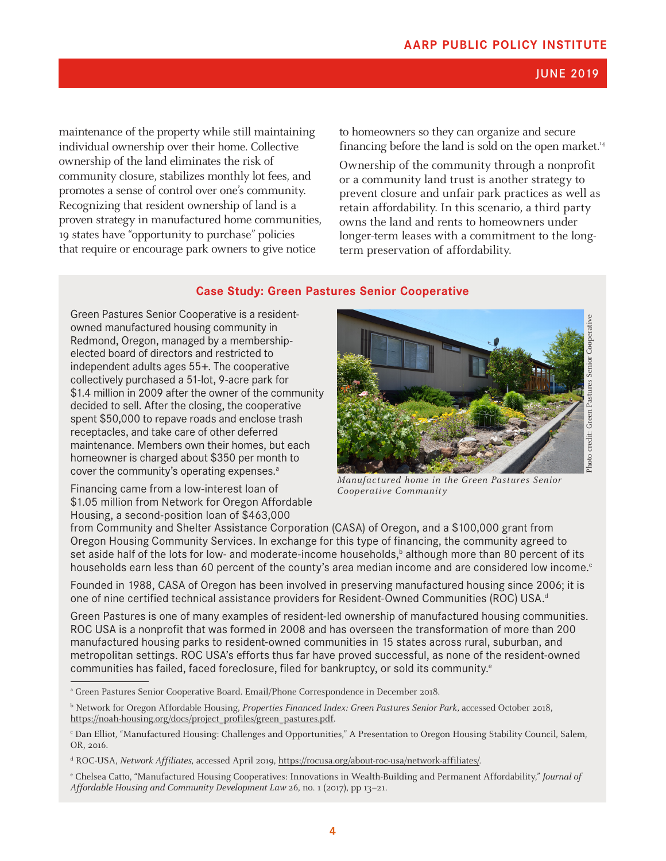#### JUNE 2019

<span id="page-3-0"></span>maintenance of the property while still maintaining individual ownership over their home. Collective ownership of the land eliminates the risk of community closure, stabilizes monthly lot fees, and promotes a sense of control over one's community. Recognizing that resident ownership of land is a proven strategy in manufactured home communities, 19 states have "opportunity to purchase" policies that require or encourage park owners to give notice

to homeowners so they can organize and secure financing before the land is sold on the open market.<sup>14</sup>

Ownership of the community through a nonprofit or a community land trust is another strategy to prevent closure and unfair park practices as well as retain affordability. In this scenario, a third party owns the land and rents to homeowners under longer-term leases with a commitment to the longterm preservation of affordability.

#### **Case Study: Green Pastures Senior Cooperative**

Green Pastures Senior Cooperative is a residentowned manufactured housing community in Redmond, Oregon, managed by a membershipelected board of directors and restricted to independent adults ages 55+. The cooperative collectively purchased a 51-lot, 9-acre park for \$1.4 million in 2009 after the owner of the community decided to sell. After the closing, the cooperative spent \$50,000 to repave roads and enclose trash receptacles, and take care of other deferred maintenance. Members own their homes, but each homeowner is charged about \$350 per month to cover the community's operating expenses.<sup>a</sup>

Financing came from a low-interest loan of \$1.05 million from Network for Oregon Affordable Housing, a second-position loan of \$463,000



Manufactured home in the Green Pastures Senior Cooperative Community

from Community and Shelter Assistance Corporation (CASA) of Oregon, and a \$100,000 grant from Oregon Housing Community Services. In exchange for this type of financing, the community agreed to set aside half of the lots for low- and moderate-income households,<sup>b</sup> although more than 80 percent of its households earn less than 60 percent of the county's area median income and are considered low income. $\circ$ 

Founded in 1988, CASA of Oregon has been involved in preserving manufactured housing since 2006; it is one of nine certified technical assistance providers for Resident-Owned Communities (ROC) USA.<sup>d</sup>

Green Pastures is one of many examples of resident-led ownership of manufactured housing communities. ROC USA is a nonprofit that was formed in 2008 and has overseen the transformation of more than 200 manufactured housing parks to resident-owned communities in 15 states across rural, suburban, and metropolitan settings. ROC USA's efforts thus far have proved successful, as none of the resident-owned communities has failed, faced foreclosure, filed for bankruptcy, or sold its community.<sup>e</sup>

a Green Pastures Senior Cooperative Board. Email/Phone Correspondence in December 2018.

<sup>&</sup>lt;sup>b</sup> Network for Oregon Affordable Housing, Properties Financed Index: Green Pastures Senior Park, accessed October 2018, [https://noah-housing.org/docs/project\\_profiles/green\\_pastures.pdf.](https://noah-housing.org/docs/project_profiles/green_pastures.pdf)

c Dan Elliot, "Manufactured Housing: Challenges and Opportunities," A Presentation to Oregon Housing Stability Council, Salem, OR, 2016.

<sup>&</sup>lt;sup>d</sup> ROC-USA, *Network Affiliates*, accessed April 2019, [https://rocusa.org/about-roc-usa/network-affiliates/.](https://rocusa.org/about-roc-usa/network-affiliates/)

<sup>&</sup>lt;sup>e</sup> Chelsea Catto, "Manufactured Housing Cooperatives: Innovations in Wealth-Building and Permanent Affordability," Journal of Affordable Housing and Community Development Law 26, no. 1 (2017), pp 13–21.